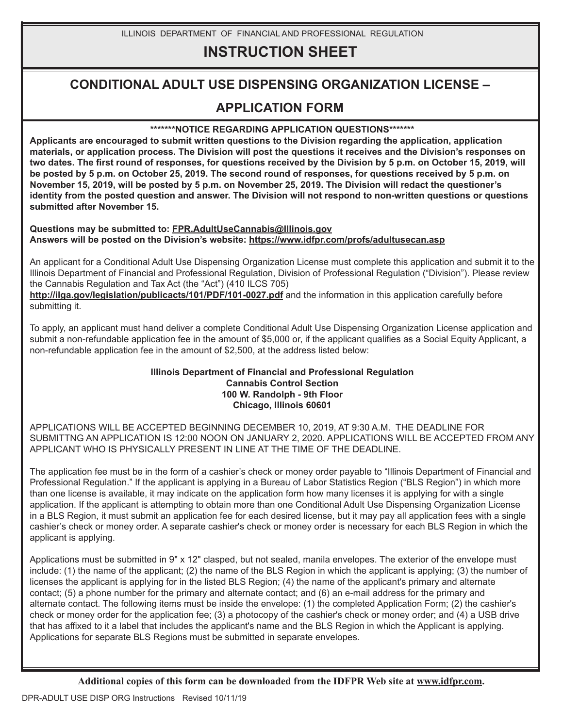ILLINOIS DEPARTMENT OF FINANCIAL AND PROFESSIONAL REGULATION

# **INSTRUCTION SHEET**

## **CONDITIONAL ADULT USE DISPENSING ORGANIZATION LICENSE –**

### **APPLICATION FORM**

#### **\*\*\*\*\*\*\*NOTICE REGARDING APPLICATION QUESTIONS\*\*\*\*\*\*\***

**Applicants are encouraged to submit written questions to the Division regarding the application, application materials, or application process. The Division will post the questions it receives and the Division's responses on two dates. The first round of responses, for questions received by the Division by 5 p.m. on October 15, 2019, will be posted by 5 p.m. on October 25, 2019. The second round of responses, for questions received by 5 p.m. on November 15, 2019, will be posted by 5 p.m. on November 25, 2019. The Division will redact the questioner's identity from the posted question and answer. The Division will not respond to non-written questions or questions submitted after November 15.**

#### **Questions may be submitted to: FPR.AdultUseCannabis@Illinois.gov Answers will be posted on the Division's website: https://www.idfpr.com/profs/adultusecan.asp**

An applicant for a Conditional Adult Use Dispensing Organization License must complete this application and submit it to the Illinois Department of Financial and Professional Regulation, Division of Professional Regulation ("Division"). Please review the Cannabis Regulation and Tax Act (the "Act") (410 ILCS 705)

**http://ilga.gov/legislation/publicacts/101/PDF/101-0027.pdf** and the information in this application carefully before submitting it.

To apply, an applicant must hand deliver a complete Conditional Adult Use Dispensing Organization License application and submit a non-refundable application fee in the amount of \$5,000 or, if the applicant qualifies as a Social Equity Applicant, a non-refundable application fee in the amount of \$2,500, at the address listed below:

#### **Illinois Department of Financial and Professional Regulation Cannabis Control Section 100 W. Randolph - 9th Floor Chicago, Illinois 60601**

APPLICATIONS WILL BE ACCEPTED BEGINNING DECEMBER 10, 2019, AT 9:30 A.M. THE DEADLINE FOR SUBMITTNG AN APPLICATION IS 12:00 NOON ON JANUARY 2, 2020. APPLICATIONS WILL BE ACCEPTED FROM ANY APPLICANT WHO IS PHYSICALLY PRESENT IN LINE AT THE TIME OF THE DEADLINE.

The application fee must be in the form of a cashier's check or money order payable to "Illinois Department of Financial and Professional Regulation." If the applicant is applying in a Bureau of Labor Statistics Region ("BLS Region") in which more than one license is available, it may indicate on the application form how many licenses it is applying for with a single application. If the applicant is attempting to obtain more than one Conditional Adult Use Dispensing Organization License in a BLS Region, it must submit an application fee for each desired license, but it may pay all application fees with a single cashier's check or money order. A separate cashier's check or money order is necessary for each BLS Region in which the applicant is applying.

Applications must be submitted in 9" x 12" clasped, but not sealed, manila envelopes. The exterior of the envelope must include: (1) the name of the applicant; (2) the name of the BLS Region in which the applicant is applying; (3) the number of licenses the applicant is applying for in the listed BLS Region; (4) the name of the applicant's primary and alternate contact; (5) a phone number for the primary and alternate contact; and (6) an e-mail address for the primary and alternate contact. The following items must be inside the envelope: (1) the completed Application Form; (2) the cashier's check or money order for the application fee; (3) a photocopy of the cashier's check or money order; and (4) a USB drive that has affixed to it a label that includes the applicant's name and the BLS Region in which the Applicant is applying. Applications for separate BLS Regions must be submitted in separate envelopes.

**Additional copies of this form can be downloaded from the IDFPR Web site at www.idfpr.com.**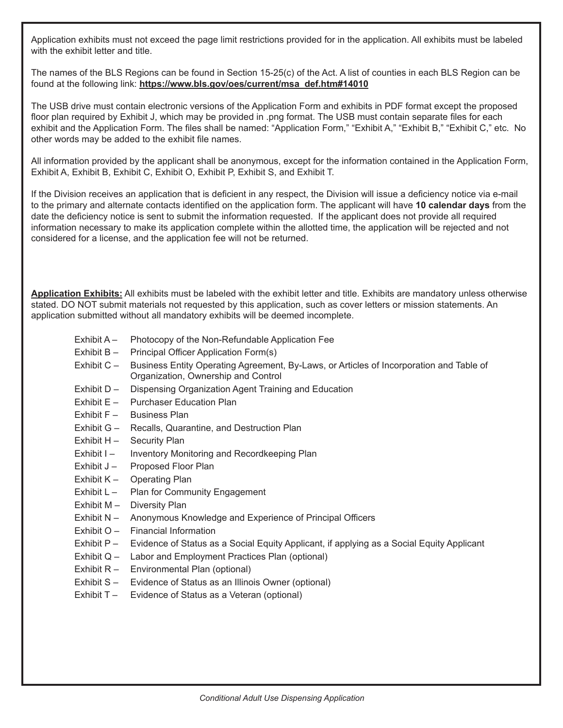Application exhibits must not exceed the page limit restrictions provided for in the application. All exhibits must be labeled with the exhibit letter and title.

The names of the BLS Regions can be found in Section 15-25(c) of the Act. A list of counties in each BLS Region can be found at the following link: **https://www.bls.gov/oes/current/msa\_def.htm#14010**

The USB drive must contain electronic versions of the Application Form and exhibits in PDF format except the proposed floor plan required by Exhibit J, which may be provided in .png format. The USB must contain separate files for each exhibit and the Application Form. The files shall be named: "Application Form," "Exhibit A," "Exhibit B," "Exhibit C," etc. No other words may be added to the exhibit file names.

All information provided by the applicant shall be anonymous, except for the information contained in the Application Form, Exhibit A, Exhibit B, Exhibit C, Exhibit O, Exhibit P, Exhibit S, and Exhibit T.

If the Division receives an application that is deficient in any respect, the Division will issue a deficiency notice via e-mail to the primary and alternate contacts identified on the application form. The applicant will have **10 calendar days** from the date the deficiency notice is sent to submit the information requested. If the applicant does not provide all required information necessary to make its application complete within the allotted time, the application will be rejected and not considered for a license, and the application fee will not be returned.

**Application Exhibits:** All exhibits must be labeled with the exhibit letter and title. Exhibits are mandatory unless otherwise stated. DO NOT submit materials not requested by this application, such as cover letters or mission statements. An application submitted without all mandatory exhibits will be deemed incomplete.

- Exhibit A Photocopy of the Non-Refundable Application Fee
- Exhibit B Principal Officer Application Form(s)
- Exhibit C Business Entity Operating Agreement, By-Laws, or Articles of Incorporation and Table of Organization, Ownership and Control
- Exhibit D Dispensing Organization Agent Training and Education
- Exhibit E Purchaser Education Plan
- Exhibit F Business Plan
- Exhibit G Recalls, Quarantine, and Destruction Plan
- Exhibit H Security Plan
- Exhibit I Inventory Monitoring and Recordkeeping Plan
- Exhibit J Proposed Floor Plan
- Exhibit K Operating Plan
- Exhibit L Plan for Community Engagement
- Exhibit M Diversity Plan
- Exhibit N Anonymous Knowledge and Experience of Principal Officers
- Exhibit O Financial Information
- Exhibit P Evidence of Status as a Social Equity Applicant, if applying as a Social Equity Applicant
- Exhibit Q Labor and Employment Practices Plan (optional)
- Exhibit R Environmental Plan (optional)
- Exhibit S Evidence of Status as an Illinois Owner (optional)
- Exhibit T Evidence of Status as a Veteran (optional)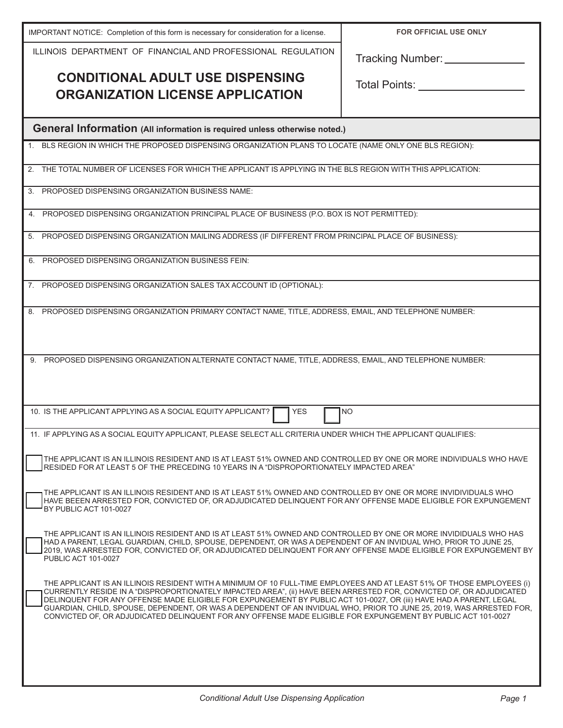| IMPORTANT NOTICE: Completion of this form is necessary for consideration for a license.                                                                                                                                                                                                                                                                           | <b>FOR OFFICIAL USE ONLY</b> |
|-------------------------------------------------------------------------------------------------------------------------------------------------------------------------------------------------------------------------------------------------------------------------------------------------------------------------------------------------------------------|------------------------------|
| ILLINOIS DEPARTMENT OF FINANCIAL AND PROFESSIONAL REGULATION                                                                                                                                                                                                                                                                                                      | Tracking Number: ________    |
| <b>CONDITIONAL ADULT USE DISPENSING</b>                                                                                                                                                                                                                                                                                                                           |                              |
| <b>ORGANIZATION LICENSE APPLICATION</b>                                                                                                                                                                                                                                                                                                                           | Total Points: __________     |
|                                                                                                                                                                                                                                                                                                                                                                   |                              |
| <b>General Information (All information is required unless otherwise noted.)</b>                                                                                                                                                                                                                                                                                  |                              |
| BLS REGION IN WHICH THE PROPOSED DISPENSING ORGANIZATION PLANS TO LOCATE (NAME ONLY ONE BLS REGION):                                                                                                                                                                                                                                                              |                              |
| THE TOTAL NUMBER OF LICENSES FOR WHICH THE APPLICANT IS APPLYING IN THE BLS REGION WITH THIS APPLICATION:                                                                                                                                                                                                                                                         |                              |
| PROPOSED DISPENSING ORGANIZATION BUSINESS NAME:                                                                                                                                                                                                                                                                                                                   |                              |
| PROPOSED DISPENSING ORGANIZATION PRINCIPAL PLACE OF BUSINESS (P.O. BOX IS NOT PERMITTED):<br>4.                                                                                                                                                                                                                                                                   |                              |
| PROPOSED DISPENSING ORGANIZATION MAILING ADDRESS (IF DIFFERENT FROM PRINCIPAL PLACE OF BUSINESS):<br>5.                                                                                                                                                                                                                                                           |                              |
| PROPOSED DISPENSING ORGANIZATION BUSINESS FEIN:<br>6.                                                                                                                                                                                                                                                                                                             |                              |
| 7. PROPOSED DISPENSING ORGANIZATION SALES TAX ACCOUNT ID (OPTIONAL):                                                                                                                                                                                                                                                                                              |                              |
| 8. PROPOSED DISPENSING ORGANIZATION PRIMARY CONTACT NAME, TITLE, ADDRESS, EMAIL, AND TELEPHONE NUMBER:                                                                                                                                                                                                                                                            |                              |
|                                                                                                                                                                                                                                                                                                                                                                   |                              |
|                                                                                                                                                                                                                                                                                                                                                                   |                              |
| 9. PROPOSED DISPENSING ORGANIZATION ALTERNATE CONTACT NAME, TITLE, ADDRESS, EMAIL, AND TELEPHONE NUMBER:                                                                                                                                                                                                                                                          |                              |
|                                                                                                                                                                                                                                                                                                                                                                   |                              |
| 10. IS THE APPLICANT APPLYING AS A SOCIAL EQUITY APPLICANT?<br><b>YES</b>                                                                                                                                                                                                                                                                                         | <b>NO</b>                    |
| 11. IF APPLYING AS A SOCIAL EQUITY APPLICANT, PLEASE SELECT ALL CRITERIA UNDER WHICH THE APPLICANT QUALIFIES:                                                                                                                                                                                                                                                     |                              |
|                                                                                                                                                                                                                                                                                                                                                                   |                              |
| THE APPLICANT IS AN ILLINOIS RESIDENT AND IS AT LEAST 51% OWNED AND CONTROLLED BY ONE OR MORE INDIVIDUALS WHO HAVE<br>RESIDED FOR AT LEAST 5 OF THE PRECEDING 10 YEARS IN A "DISPROPORTIONATELY IMPACTED AREA"                                                                                                                                                    |                              |
| THE APPLICANT IS AN ILLINOIS RESIDENT AND IS AT LEAST 51% OWNED AND CONTROLLED BY ONE OR MORE INVIDIVIDUALS WHO                                                                                                                                                                                                                                                   |                              |
| HAVE BEEEN ARRESTED FOR, CONVICTED OF, OR ADJUDICATED DELINQUENT FOR ANY OFFENSE MADE ELIGIBLE FOR EXPUNGEMENT<br>BY PUBLIC ACT 101-0027                                                                                                                                                                                                                          |                              |
| THE APPLICANT IS AN ILLINOIS RESIDENT AND IS AT LEAST 51% OWNED AND CONTROLLED BY ONE OR MORE INVIDIDUALS WHO HAS                                                                                                                                                                                                                                                 |                              |
| HAD A PARENT, LEGAL GUARDIAN, CHILD, SPOUSE, DEPENDENT, OR WAS A DEPENDENT OF AN INVIDUAL WHO, PRIOR TO JUNE 25,<br>2019, WAS ARRESTED FOR, CONVICTED OF, OR ADJUDICATED DELINQUENT FOR ANY OFFENSE MADE ELIGIBLE FOR EXPUNGEMENT BY<br><b>PUBLIC ACT 101-0027</b>                                                                                                |                              |
| THE APPLICANT IS AN ILLINOIS RESIDENT WITH A MINIMUM OF 10 FULL-TIME EMPLOYEES AND AT LEAST 51% OF THOSE EMPLOYEES (i)                                                                                                                                                                                                                                            |                              |
| CURRENTLY RESIDE IN A "DISPROPORTIONATELY IMPACTED AREA", (ii) HAVE BEEN ARRESTED FOR, CONVICTED OF, OR ADJUDICATED<br>DELINQUENT FOR ANY OFFENSE MADE ELIGIBLE FOR EXPUNGEMENT BY PUBLIC ACT 101-0027, OR (iii) HAVE HAD A PARENT, LEGAL<br>GUARDIAN, CHILD, SPOUSE, DEPENDENT, OR WAS A DEPENDENT OF AN INVIDUAL WHO, PRIOR TO JUNE 25, 2019, WAS ARRESTED FOR, |                              |
| CONVICTED OF, OR ADJUDICATED DELINQUENT FOR ANY OFFENSE MADE ELIGIBLE FOR EXPUNGEMENT BY PUBLIC ACT 101-0027                                                                                                                                                                                                                                                      |                              |
|                                                                                                                                                                                                                                                                                                                                                                   |                              |
|                                                                                                                                                                                                                                                                                                                                                                   |                              |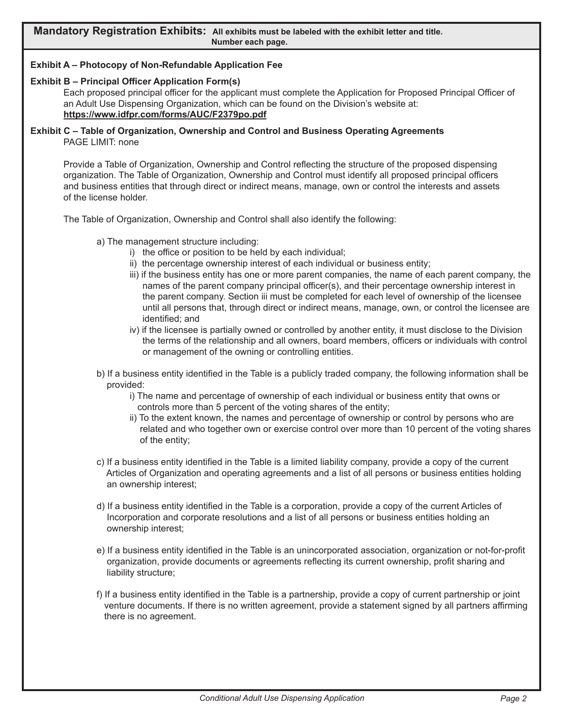#### **Exhibit A – Photocopy of Non-Refundable Application Fee**

#### **Exhibit B – Principal Officer Application Form(s)**

Each proposed principal officer for the applicant must complete the Application for Proposed Principal Officer of an Adult Use Dispensing Organization, which can be found on the Division's website at: **https://www.idfpr.com/forms/AUC/F2379po.pdf**

#### **Exhibit C – Table of Organization, Ownership and Control and Business Operating Agreements** PAGE LIMIT: none

Provide a Table of Organization, Ownership and Control reflecting the structure of the proposed dispensing organization. The Table of Organization, Ownership and Control must identify all proposed principal officers and business entities that through direct or indirect means, manage, own or control the interests and assets of the license holder.

The Table of Organization, Ownership and Control shall also identify the following:

- a) The management structure including:
	- i) the office or position to be held by each individual;
	- ii) the percentage ownership interest of each individual or business entity;
	- iii) if the business entity has one or more parent companies, the name of each parent company, the names of the parent company principal officer(s), and their percentage ownership interest in the parent company. Section iii must be completed for each level of ownership of the licensee until all persons that, through direct or indirect means, manage, own, or control the licensee are identified; and
	- iv) if the licensee is partially owned or controlled by another entity, it must disclose to the Division the terms of the relationship and all owners, board members, officers or individuals with control or management of the owning or controlling entities.
- b) If a business entity identified in the Table is a publicly traded company, the following information shall be provided:
	- i) The name and percentage of ownership of each individual or business entity that owns or controls more than 5 percent of the voting shares of the entity;
	- ii) To the extent known, the names and percentage of ownership or control by persons who are related and who together own or exercise control over more than 10 percent of the voting shares of the entity;
- c) If a business entity identified in the Table is a limited liability company, provide a copy of the current Articles of Organization and operating agreements and a list of all persons or business entities holding an ownership interest;
- d) If a business entity identified in the Table is a corporation, provide a copy of the current Articles of Incorporation and corporate resolutions and a list of all persons or business entities holding an ownership interest;
- e) If a business entity identified in the Table is an unincorporated association, organization or not-for-profit organization, provide documents or agreements reflecting its current ownership, profit sharing and liability structure;
- f) If a business entity identified in the Table is a partnership, provide a copy of current partnership or joint venture documents. If there is no written agreement, provide a statement signed by all partners affirming there is no agreement.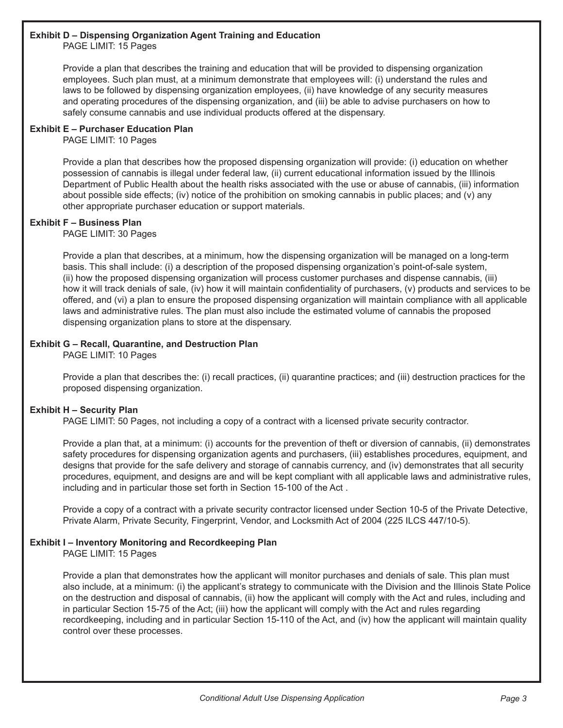#### **Exhibit D – Dispensing Organization Agent Training and Education**

PAGE LIMIT: 15 Pages

Provide a plan that describes the training and education that will be provided to dispensing organization employees. Such plan must, at a minimum demonstrate that employees will: (i) understand the rules and laws to be followed by dispensing organization employees, (ii) have knowledge of any security measures and operating procedures of the dispensing organization, and (iii) be able to advise purchasers on how to safely consume cannabis and use individual products offered at the dispensary.

#### **Exhibit E – Purchaser Education Plan**

PAGE LIMIT: 10 Pages

Provide a plan that describes how the proposed dispensing organization will provide: (i) education on whether possession of cannabis is illegal under federal law, (ii) current educational information issued by the Illinois Department of Public Health about the health risks associated with the use or abuse of cannabis, (iii) information about possible side effects; (iv) notice of the prohibition on smoking cannabis in public places; and (v) any other appropriate purchaser education or support materials.

#### **Exhibit F – Business Plan**

PAGE LIMIT: 30 Pages

Provide a plan that describes, at a minimum, how the dispensing organization will be managed on a long-term basis. This shall include: (i) a description of the proposed dispensing organization's point-of-sale system, (ii) how the proposed dispensing organization will process customer purchases and dispense cannabis, (iii) how it will track denials of sale, (iv) how it will maintain confidentiality of purchasers, (v) products and services to be offered, and (vi) a plan to ensure the proposed dispensing organization will maintain compliance with all applicable laws and administrative rules. The plan must also include the estimated volume of cannabis the proposed dispensing organization plans to store at the dispensary.

#### **Exhibit G – Recall, Quarantine, and Destruction Plan**

PAGE LIMIT: 10 Pages

Provide a plan that describes the: (i) recall practices, (ii) quarantine practices; and (iii) destruction practices for the proposed dispensing organization.

#### **Exhibit H – Security Plan**

PAGE LIMIT: 50 Pages, not including a copy of a contract with a licensed private security contractor.

Provide a plan that, at a minimum: (i) accounts for the prevention of theft or diversion of cannabis, (ii) demonstrates safety procedures for dispensing organization agents and purchasers, (iii) establishes procedures, equipment, and designs that provide for the safe delivery and storage of cannabis currency, and (iv) demonstrates that all security procedures, equipment, and designs are and will be kept compliant with all applicable laws and administrative rules, including and in particular those set forth in Section 15-100 of the Act .

Provide a copy of a contract with a private security contractor licensed under Section 10-5 of the Private Detective, Private Alarm, Private Security, Fingerprint, Vendor, and Locksmith Act of 2004 (225 ILCS 447/10-5).

#### **Exhibit I – Inventory Monitoring and Recordkeeping Plan**

PAGE LIMIT: 15 Pages

Provide a plan that demonstrates how the applicant will monitor purchases and denials of sale. This plan must also include, at a minimum: (i) the applicant's strategy to communicate with the Division and the Illinois State Police on the destruction and disposal of cannabis, (ii) how the applicant will comply with the Act and rules, including and in particular Section 15-75 of the Act; (iii) how the applicant will comply with the Act and rules regarding recordkeeping, including and in particular Section 15-110 of the Act, and (iv) how the applicant will maintain quality control over these processes.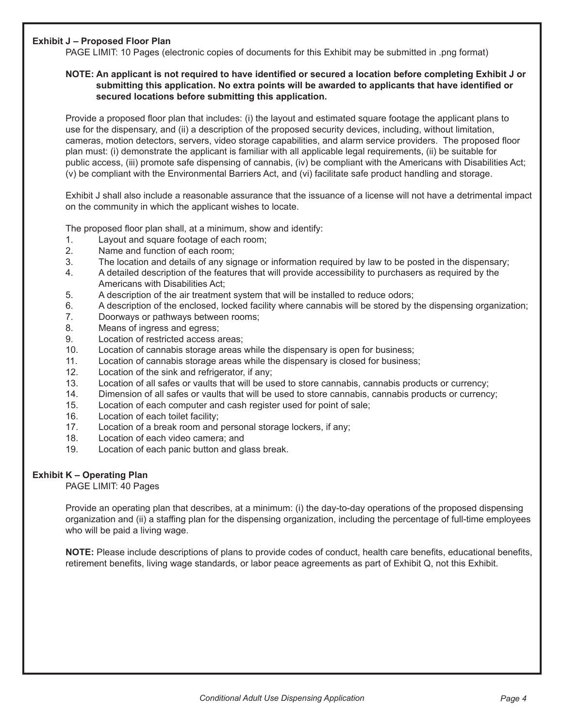#### **Exhibit J – Proposed Floor Plan**

PAGE LIMIT: 10 Pages (electronic copies of documents for this Exhibit may be submitted in .png format)

#### **NOTE: An applicant is not required to have identified or secured a location before completing Exhibit J or submitting this application. No extra points will be awarded to applicants that have identified or secured locations before submitting this application.**

Provide a proposed floor plan that includes: (i) the layout and estimated square footage the applicant plans to use for the dispensary, and (ii) a description of the proposed security devices, including, without limitation, cameras, motion detectors, servers, video storage capabilities, and alarm service providers. The proposed floor plan must: (i) demonstrate the applicant is familiar with all applicable legal requirements, (ii) be suitable for public access, (iii) promote safe dispensing of cannabis, (iv) be compliant with the Americans with Disabilities Act; (v) be compliant with the Environmental Barriers Act, and (vi) facilitate safe product handling and storage.

Exhibit J shall also include a reasonable assurance that the issuance of a license will not have a detrimental impact on the community in which the applicant wishes to locate.

The proposed floor plan shall, at a minimum, show and identify:

- 1. Layout and square footage of each room;
- 2. Name and function of each room;
- 3. The location and details of any signage or information required by law to be posted in the dispensary;
- 4. A detailed description of the features that will provide accessibility to purchasers as required by the Americans with Disabilities Act;
- 5. A description of the air treatment system that will be installed to reduce odors;
- 6. A description of the enclosed, locked facility where cannabis will be stored by the dispensing organization;
- 7. Doorways or pathways between rooms;
- 8. Means of ingress and egress;
- 9. Location of restricted access areas;
- 10. Location of cannabis storage areas while the dispensary is open for business;
- 11. Location of cannabis storage areas while the dispensary is closed for business;
- 12. Location of the sink and refrigerator, if any;
- 13. Location of all safes or vaults that will be used to store cannabis, cannabis products or currency;
- 14. Dimension of all safes or vaults that will be used to store cannabis, cannabis products or currency;
- 15. Location of each computer and cash register used for point of sale;
- 16. Location of each toilet facility;
- 17. Location of a break room and personal storage lockers, if any;
- 18. Location of each video camera; and
- 19. Location of each panic button and glass break.

#### **Exhibit K – Operating Plan**

PAGE LIMIT: 40 Pages

Provide an operating plan that describes, at a minimum: (i) the day-to-day operations of the proposed dispensing organization and (ii) a staffing plan for the dispensing organization, including the percentage of full-time employees who will be paid a living wage.

**NOTE:** Please include descriptions of plans to provide codes of conduct, health care benefits, educational benefits, retirement benefits, living wage standards, or labor peace agreements as part of Exhibit Q, not this Exhibit.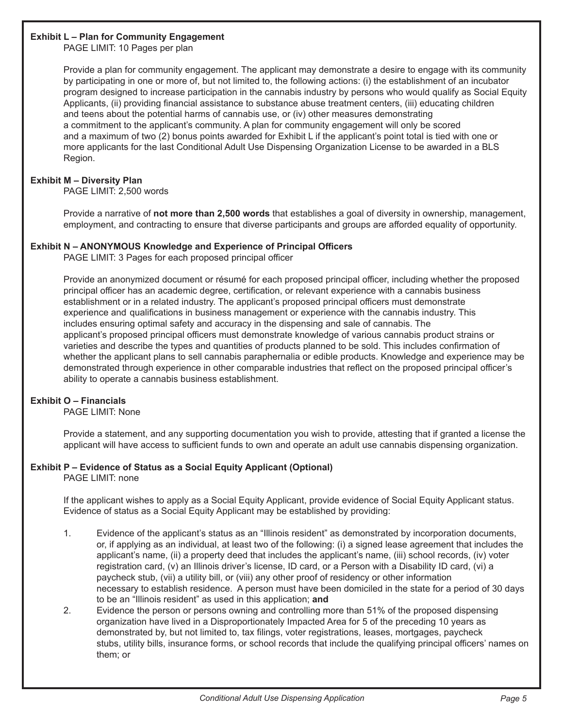#### **Exhibit L – Plan for Community Engagement**

PAGE LIMIT: 10 Pages per plan

Provide a plan for community engagement. The applicant may demonstrate a desire to engage with its community by participating in one or more of, but not limited to, the following actions: (i) the establishment of an incubator program designed to increase participation in the cannabis industry by persons who would qualify as Social Equity Applicants, (ii) providing financial assistance to substance abuse treatment centers, (iii) educating children and teens about the potential harms of cannabis use, or (iv) other measures demonstrating a commitment to the applicant's community. A plan for community engagement will only be scored and a maximum of two (2) bonus points awarded for Exhibit L if the applicant's point total is tied with one or more applicants for the last Conditional Adult Use Dispensing Organization License to be awarded in a BLS Region.

#### **Exhibit M – Diversity Plan**

PAGE LIMIT: 2,500 words

Provide a narrative of **not more than 2,500 words** that establishes a goal of diversity in ownership, management, employment, and contracting to ensure that diverse participants and groups are afforded equality of opportunity.

#### **Exhibit N – ANONYMOUS Knowledge and Experience of Principal Officers**

PAGE LIMIT: 3 Pages for each proposed principal officer

Provide an anonymized document or résumé for each proposed principal officer, including whether the proposed principal officer has an academic degree, certification, or relevant experience with a cannabis business establishment or in a related industry. The applicant's proposed principal officers must demonstrate experience and qualifications in business management or experience with the cannabis industry. This includes ensuring optimal safety and accuracy in the dispensing and sale of cannabis. The applicant's proposed principal officers must demonstrate knowledge of various cannabis product strains or varieties and describe the types and quantities of products planned to be sold. This includes confirmation of whether the applicant plans to sell cannabis paraphernalia or edible products. Knowledge and experience may be demonstrated through experience in other comparable industries that reflect on the proposed principal officer's ability to operate a cannabis business establishment.

#### **Exhibit O – Financials**

PAGE LIMIT: None

Provide a statement, and any supporting documentation you wish to provide, attesting that if granted a license the applicant will have access to sufficient funds to own and operate an adult use cannabis dispensing organization.

#### **Exhibit P – Evidence of Status as a Social Equity Applicant (Optional)**

PAGE LIMIT: none

If the applicant wishes to apply as a Social Equity Applicant, provide evidence of Social Equity Applicant status. Evidence of status as a Social Equity Applicant may be established by providing:

- 1. Evidence of the applicant's status as an "Illinois resident" as demonstrated by incorporation documents, or, if applying as an individual, at least two of the following: (i) a signed lease agreement that includes the applicant's name, (ii) a property deed that includes the applicant's name, (iii) school records, (iv) voter registration card, (v) an Illinois driver's license, ID card, or a Person with a Disability ID card, (vi) a paycheck stub, (vii) a utility bill, or (viii) any other proof of residency or other information necessary to establish residence. A person must have been domiciled in the state for a period of 30 days to be an "Illinois resident" as used in this application; **and**
- 2. Evidence the person or persons owning and controlling more than 51% of the proposed dispensing organization have lived in a Disproportionately Impacted Area for 5 of the preceding 10 years as demonstrated by, but not limited to, tax filings, voter registrations, leases, mortgages, paycheck stubs, utility bills, insurance forms, or school records that include the qualifying principal officers' names on them; or